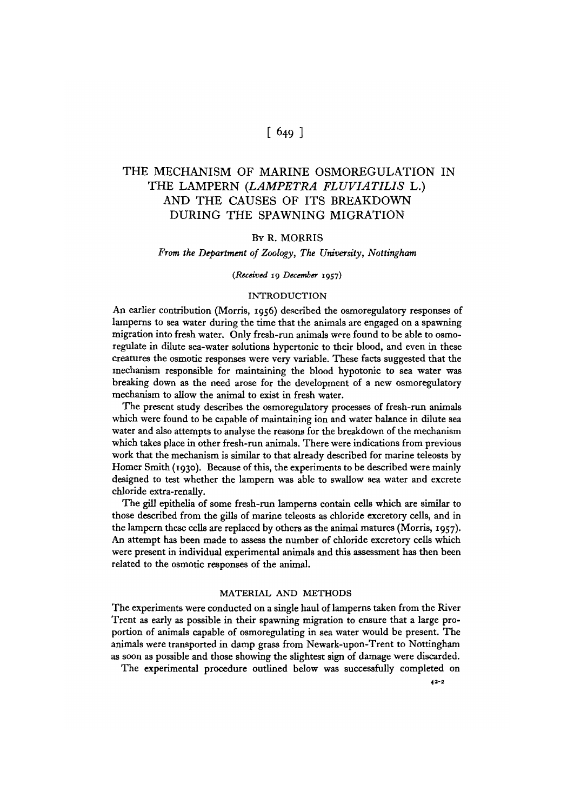# $[649]$

# THE MECHANISM OF MARINE OSMOREGULATION IN THE LAMPERN *{LAMPETRA FLUVIATILIS* L.) AND THE CAUSES OF ITS BREAKDOWN DURING THE SPAWNING MIGRATION

# BY R. MORRIS

### *From the Department of Zoology, The University, Nottingham*

## *(Received* 19 *December* 1957)

### INTRODUCTION

An earlier contribution (Morris, 1956) described the osmoregulatory responses of lamperns to sea water during the time that the animals are engaged on a spawning migration into fresh water. Only fresh-run animals were found to be able to osmoregulate in dilute sea-water solutions hypertonic to their blood, and even in these creatures the osmotic responses were very variable. These facts suggested that the mechanism responsible for maintaining the blood hypotonic to sea water was breaking down as the need arose for the development of a new osmoregulatory mechanism to allow the animal to exist in fresh water.

The present study describes the osmoregulatory processes of fresh-run animals which were found to be capable of maintaining ion and water balance in dilute sea water and also attempts to analyse the reasons for the breakdown of the mechanism which takes place in other fresh-run animals. There were indications from previous work that the mechanism is similar to that already described for marine teleosts by Homer Smith (1930). Because of this, the experiments to be described were mainly designed to test whether the lampern was able to swallow sea water and excrete chloride extra-renally.

The gill epithelia of some fresh-run lamperns contain cells which are similar to those described from the gills of marine teleosts as chloride excretory cells, and in the lampern these cells are replaced by others as the animal matures (Morris, 1957). An attempt has been made to assess the number of chloride excretory cells which were present in individual experimental animals and this assessment has then been related to the osmotic responses of the animal.

## MATERIAL AND METHODS

The experiments were conducted on a single haul of lamperns taken from the River Trent as early as possible in their spawning migration to ensure that a large proportion of animals capable of osmoregulating in sea water would be present. The animals were transported in damp grass from Newark-upon-Trent to Nottingham as soon as possible and those showing the slightest sign of damage were discarded.

The experimental procedure outlined below was successfully completed on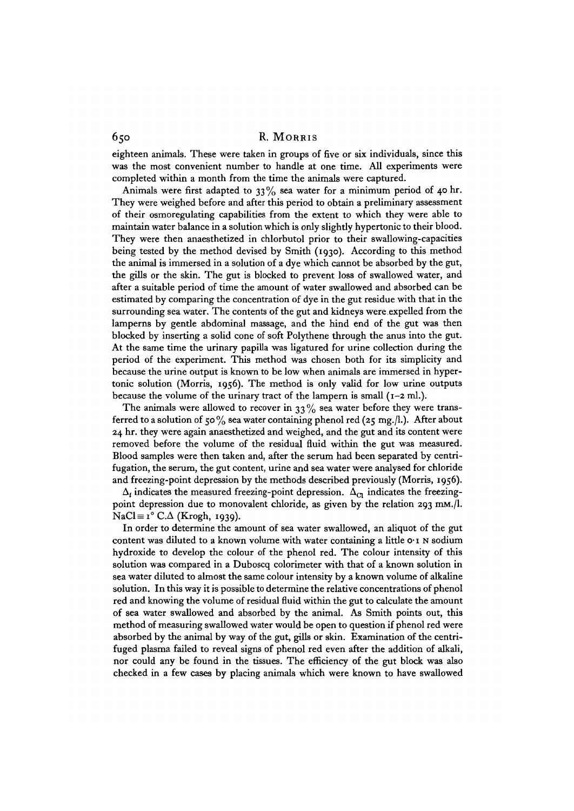eighteen animals. These were taken in groups of five or six individuals, since this was the most convenient number to handle at one time. All experiments were completed within a month from the time the animals were captured.

Animals were first adapted to  $33\%$  sea water for a minimum period of 40 hr. They were weighed before and after this period to obtain a preliminary assessment of their osmoregulating capabilities from the extent to which they were able to maintain water balance in a solution which is only slightly hypertonic to their blood. They were then anaesthetized in chlorbutol prior to their swallowing-capacities being tested by the method devised by Smith (1930). According to this method the animal is immersed in a solution of a dye which cannot be absorbed by the gut, the gills or the skin. The gut is blocked to prevent loss of swallowed water, and after a suitable period of time the amount of water swallowed and absorbed can be estimated by comparing the concentration of dye in the gut residue with that in the surrounding sea water. The contents of the gut and kidneys were.expelled from the lamperns by gentle abdominal massage, and the hind end of the gut was then blocked by inserting a solid cone of soft Polythene through the anus into the gut. At the same time the urinary papilla was ligatured for urine collection during the period of the experiment. This method was chosen both for its simplicity and because the urine output is known to be low when animals are immersed in hypertonic solution (Morris, 1956). The method is only valid for low urine outputs because the volume of the urinary tract of the lampern is small (1-2 ml.).

The animals were allowed to recover in  $33\%$  sea water before they were transferred to a solution of 50% sea water containing phenol red (25 mg./l.). After about 24 hr. they were again anaesthetized and weighed, and the gut and its content were removed before the volume of the residual fluid within the gut was measured. Blood samples were then taken and, after the serum had been separated by centrifugation, the serum, the gut content, urine and sea water were analysed for chloride and freezing-point depression by the methods described previously (Morris, 1956).

 $\Delta_t$  indicates the measured freezing-point depression.  $\Delta_{c_1}$  indicates the freezingpoint depression due to monovalent chloride, as given by the relation 293 mm./l.  $NaCl \equiv i^{\circ} C.\Delta$  (Krogh, 1939).

In order to determine the amount of sea water swallowed, an aliquot of the gut content was diluted to a known volume with water containing a little  $o \cdot i$  N sodium hydroxide to develop the colour of the phenol red. The colour intensity of this solution was compared in a Duboscq colorimeter with that of a known solution in sea water diluted to almost the same colour intensity by a known volume of alkaline solution. In this way it is possible to determine the relative concentrations of phenol red and knowing the volume of residual fluid within the gut to calculate the amount of sea water swallowed and absorbed by the animal. As Smith points out, this method of measuring swallowed water would be open to question if phenol red were absorbed by the animal by way of the gut, gills or skin. Examination of the centrifuged plasma failed to reveal signs of phenol red even after the addition of alkali, nor could any be found in the tissues. The efficiency of the gut block was also checked in a few cases by placing animals which were known to have swallowed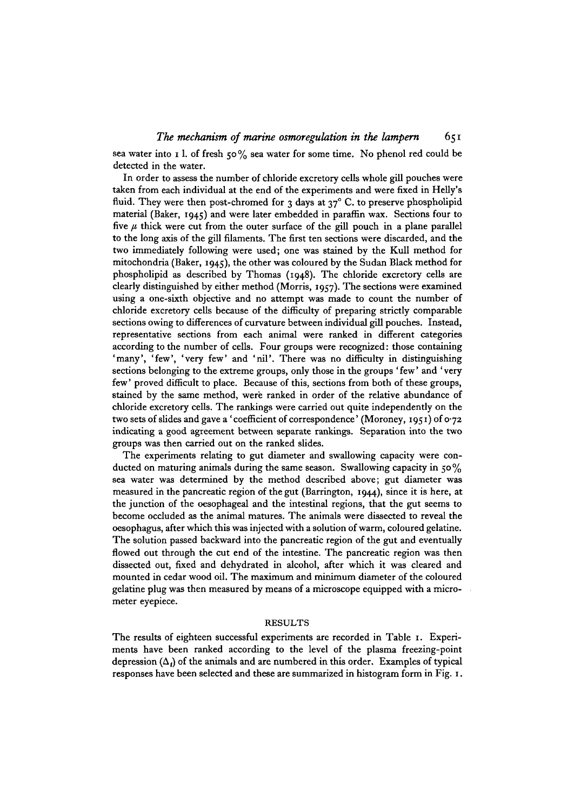sea water into 1 l. of fresh 50% sea water for some time. No phenol red could be detected in the water.

In order to assess the number of chloride excretory cells whole gill pouches were taken from each individual at the end of the experiments and were fixed in Helly's fluid. They were then post-chromed for 3 days at  $37^{\circ}$  C. to preserve phospholipid material (Baker, 1945) and were later embedded in paraffin wax. Sections four to five  $\mu$  thick were cut from the outer surface of the gill pouch in a plane parallel to the long axis of the gill filaments. The first ten sections were discarded, and the two immediately following were used; one was stained by the Kull method for mitochondria (Baker, 1945), the other was coloured by the Sudan Black method for phospholipid as described by Thomas (1948). The chloride excretory cells are clearly distinguished by either method (Morris, 1957). The sections were examined using a one-sixth objective and no attempt was made to count the number of chloride excretory cells because of the difficulty of preparing strictly comparable sections owing to differences of curvature between individual gill pouches. Instead, representative sections from each animal were ranked in different categories according to the number of cells. Four groups were recognized: those containing 'many', 'few', 'very few' and 'nil'. There was no difficulty in distinguishing sections belonging to the extreme groups, only those in the groups ' few' and ' very few' proved difficult to place. Because of this, sections from both of these groups, stained by the same method, were ranked in order of the relative abundance of chloride excretory cells. The rankings were carried out quite independently on the two sets of slides and gave a 'coefficient of correspondence' (Moroney, 1951) of 0-72 indicating a good agreement between separate rankings. Separation into the two groups was then carried out on the ranked slides.

The experiments relating to gut diameter and swallowing capacity were conducted on maturing animals during the same season. Swallowing capacity in  $50\%$ sea water was determined by the method described above; gut diameter was measured in the pancreatic region of the gut (Barrington, 1944), since it is here, at the junction of the oesophageal and the intestinal regions, that the gut seems to become occluded as the animal matures. The animals were dissected to reveal the oesophagus, after which this was injected with a solution of warm, coloured gelatine. The solution passed backward into the pancreatic region of the gut and eventually flowed out through the cut end of the intestine. The pancreatic region was then dissected out, fixed and dehydrated in alcohol, after which it was cleared and mounted in cedar wood oil. The maximum and minimum diameter of the coloured gelatine plug was then measured by means of a microscope equipped with a micrometer eyepiece.

### RESULTS

The results of eighteen successful experiments are recorded in Table 1. Experiments have been ranked according to the level of the plasma freezing-point depression  $(\Delta_i)$  of the animals and are numbered in this order. Examples of typical responses have been selected and these are summarized in histogram form in Fig. 1.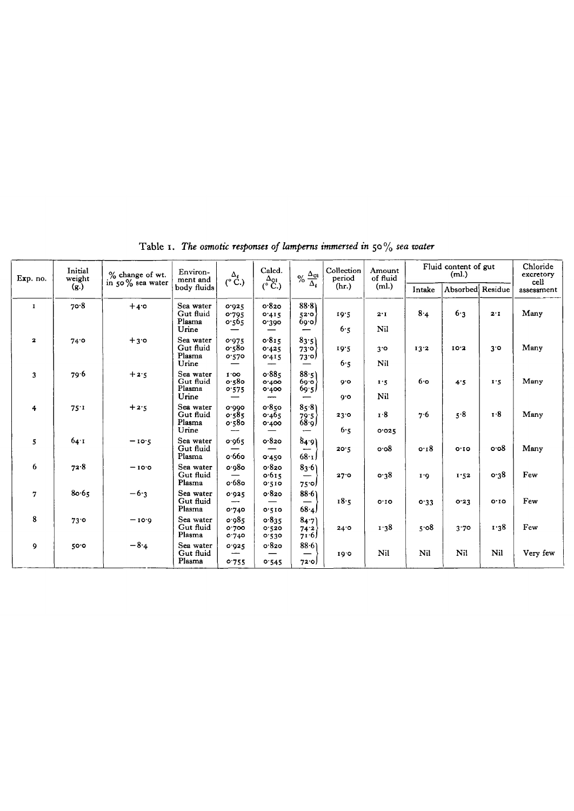| Exp. no.                | Initial<br>weight | % change of wt.  | Environ-<br>ment and                      | $\alpha_{\text{C}}^{\Delta_{t}}$ | Calcd.                                           | $\%$ $\frac{\Delta_{0l}}{\Delta_{t}}$    | Collection<br>period | Amount<br>of fluid | Fluid content of gut | Chloride<br>excretory<br>cell |         |            |
|-------------------------|-------------------|------------------|-------------------------------------------|----------------------------------|--------------------------------------------------|------------------------------------------|----------------------|--------------------|----------------------|-------------------------------|---------|------------|
|                         | (g.)              | in 50% sea water | body fluids                               |                                  | $\overset{\Delta_{01}}{\left(^{\circ}C.\right)}$ |                                          | (hr.)                | (ml.)              | Intake               | Absorbed Residue              |         | assessment |
| $\mathbf{I}$            | 70.8              | $+4.0$           | Sea water<br>Gut fluid<br>Plasma<br>Urine | 0.925<br>0.795<br>0.565          | 0.820<br>0.415<br>0.300                          | 88.8<br>52.0<br>69.0                     | 19.5<br>6.5          | 2.1<br>Nil         | 8.4                  | 6.3                           | 2.1     | Many       |
| $\overline{\mathbf{z}}$ | 74.0              | $+3.0$           | Sea water<br>Gut fluid<br>Plasma<br>Urine | 0.975<br>0.580<br>0.570          | 0.815<br>0.425<br>0.415                          | 83.5)<br>(סי3ט<br>73סי<br>—              | 10.5<br>6.5          | 3.0<br>Nil         | 13.2                 | 10.2                          | 3°      | Many       |
| 3                       | 79.6              | $+2.5$           | Sea water<br>Gut fluid<br>Plasma<br>Urine | 1.00<br>o.58o<br>0.575           | 0.885<br>0.400<br>0.400                          | 88.5)<br>60.0<br>69.5<br>—               | 0.0<br>0.0           | 1.5<br>Nil         | 6.0                  | 4.5                           | 1.5     | Many       |
| 4                       | 75:1              | $+2.5$           | Sea water<br>Gut fluid<br>Plasma<br>Urine | 0.000<br>0.585<br>$o.58$ o       | 0.850<br>0.465<br>0.400                          | 85.8<br>79.5<br>68.9<br>-                | 23.0<br>6.5          | 1.8<br>0.025       | 7.6                  | 5.8                           | 1.8     | Many       |
| 5                       | 64.1              | $-10.5$          | Sea water<br>Gut fluid<br>Plasma          | 0.965<br>—<br>o.66o              | 0.820<br>0.450                                   | 84.9<br>---<br>$68 \cdot 1$              | 20.5                 | 0.08               | 0.18                 | 0.10                          | o·o8    | Many       |
| 6                       | 72.8              | $-10.0$          | Sea water<br>Gut fluid<br>Plasma          | 0.080<br>o.68o                   | 0.820<br>0.615<br>0.510                          | 83.6<br>$\overline{\phantom{a}}$<br>75.0 | 27.0                 | 0.38               | 1.6                  | 1.52                          | 0.38    | Few        |
| $\overline{7}$          | 80.65             | $-6.3$           | Sea water<br>Gut fluid<br>Plasma          | 0.925<br>---<br>0.740            | 0.820<br>0'510                                   | 88.6<br>$\qquad \qquad$<br>68.4)         | 18.5                 | 0.10               | 0.33                 | 0.23                          | $O^TIO$ | Few        |
| 8                       | $73$ °            | $-10.0$          | Sea water<br>Gut fluid<br>Plasma          | 0.985<br>0.700<br>0.740          | 0.835<br>0.520<br>0.530                          | 84.7<br>74.2<br>71.6                     | 24.0                 | 1.38               | 5.08                 | 3.70                          | 1.38    | Few        |
| 9                       | 50.0              | $-8.4$           | Sea water<br>Gut fluid<br>Plasma          | 0.925<br>---<br>0.755            | 0.820<br>0.545                                   | 88.61<br>72.0                            | 10.0                 | Nil                | Nil                  | Nil                           | Nil     | Very few   |

Table i. *The osmotic responses of lampems immersed in* 50% *sea water*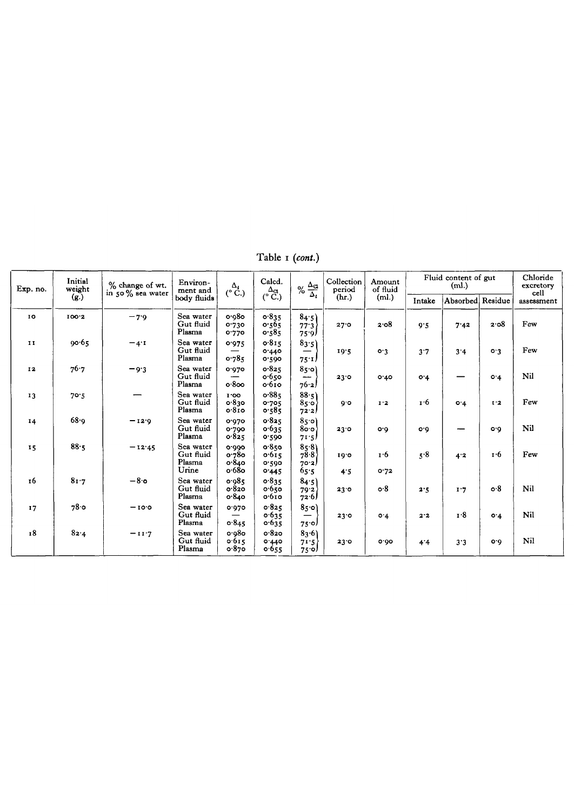Table i *(cont.)*

| Exp. no.     | Initial<br>weight | % change of wt.<br>in 50% sea water | Environ-<br>ment and                      | $\overset{\Delta_1}{\left( ^\circ \text{C.}\right)}$ | Calcd.<br>$\Delta_{\mathfrak{A}}$ | % $\frac{\Delta_{\rm CI}}{\Delta_t}$ | Collection<br>period<br>(hr.) | Amount<br>of fluid<br>(ml.) | Fluid content of gut<br>(ml.) |                  |                               | Chloride<br>excretory<br>cell |
|--------------|-------------------|-------------------------------------|-------------------------------------------|------------------------------------------------------|-----------------------------------|--------------------------------------|-------------------------------|-----------------------------|-------------------------------|------------------|-------------------------------|-------------------------------|
|              | (g.)              |                                     | body fluids                               |                                                      | $(^{\circ}$ C.)                   |                                      |                               |                             | Intake                        | Absorbed Residue |                               | assessment                    |
| 10           | 100.2             | $-7.9$                              | Sea water<br>Gut fluid<br>Plasma          | 0.980<br>0.730<br>0.770                              | 0.835<br>0.565<br>0.585           | 84.5)<br>77.3<br>75.9                | 27.0                          | 2.08                        | 9.5                           | 7.42             | 2.08                          | Few                           |
| $\mathbf{I}$ | 90.65             | $-4$ <sup>'I</sup>                  | Sea water<br>Gut fluid<br>Plasma          | 0.975<br>0.785                                       | 0.815<br>0.440<br>0.590           | 83.5)<br>$75 \cdot I$                | 19.5                          | o.3                         | 3.7                           | 3'4              | 0.3                           | Few                           |
| 12           | 76.7              | $-9.3$                              | Sea water<br>Gut fluid<br>Plasma          | 0.970<br>0.800                                       | 0.825<br>0.650<br>0.610           | 850)<br>---<br>76.2                  | 23.0                          | 0.40                        | O.4                           |                  | O.4                           | Nil                           |
| 13           | 70.5              |                                     | Sea water<br>Gut fluid<br>Plasma          | 1'00<br>0.830<br>0.8 <sub>10</sub>                   | 0.885<br>0.705<br>0.585           | 88.5)<br>850<br>72.2                 | Q.O                           | 1'2                         | 1.6                           | $O^*4$           | $I^{\dagger}2$                | Few                           |
| 14           | 68·q              | $-12.9$                             | Sea water<br>Gut fluid<br>Plasma          | 0.970<br>0.790<br>0.825                              | 0.825<br>0.635<br>0.590           | 850<br>8o o<br>71.5                  | 23.0                          | O <sub>0</sub>              | o.d                           |                  | $O \cdot O$                   | Nil                           |
| 15           | 88.5              | $-12.45$                            | Sea water<br>Gut fluid<br>Plasma<br>Urine | 0.000<br>0.780<br>0.840<br>o.68o                     | 0.850<br>0.615<br>0.590<br>0.445  | 85.8<br>78.8<br>70.2<br>65.5         | 10.0<br>4.5                   | 1.6<br>0.72                 | 5.8                           | 4.2              | т 6                           | Few                           |
| <b>16</b>    | 81.7              | $-8.0$                              | Sea water<br>Gut fluid<br>Plasma          | 0.085<br>0.820<br>0.840                              | 0.835<br>0.650<br>0.610           | 84.5)<br>79.2<br>72.6                | 23.0                          | o.8                         | 2.5                           | 1.7              | $\mathbf{o} \cdot \mathbf{8}$ | <b>Nil</b>                    |
| 17           | 78.0              | $-10.0$                             | Sea water<br>Gut fluid<br>Plasma          | 0.970<br>0.845                                       | 0.825<br>0.635<br>0.635           | 850<br>—<br>75.O)                    | 23.0                          | 0.4                         | 2.2                           | 1.8              | $O^*$ 4                       | Nil                           |
| 18           | 82.4              | $-11.7$                             | Sea water<br>Gut fluid<br>Plasma          | 0.080<br>0.615<br>0.870                              | 0.820<br>0.440<br>0.655           | 83.6<br>71.5<br>75.O)                | 23.0                          | 0.00                        | 4'4                           | 3.3              | O·Q                           | Nil                           |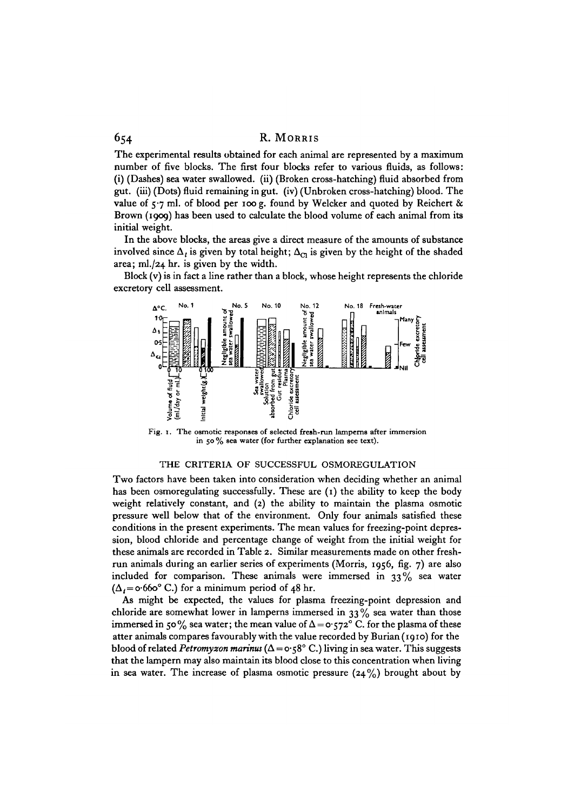The experimental results obtained for each animal are represented by a maximum number of five blocks. The first four blocks refer to various fluids, as follows: (i) (Dashes) sea water swallowed, (ii) (Broken cross-hatching) fluid absorbed from gut. (iii) (Dots) fluid remaining in gut, (iv) (Unbroken cross-hatching) blood. The value of  $5.7$  ml. of blood per 100 g. found by Welcker and quoted by Reichert & Brown (1909) has been used to calculate the blood volume of each animal from its initial weight.

In the above blocks, the areas give a direct measure of the amounts of substance involved since  $\Delta_i$  is given by total height;  $\Delta_{\text{CI}}$  is given by the height of the shaded area; ml./24 hr. is given by the width.

Block (v) is in fact a line rather than a block, whose height represents the chloride excretory cell assessment.



Fig. 1. The osmotic responses of selected fresh-run lamperns after immersion in 50 % sea water (for further explanation see text).

#### THE CRITERIA OF SUCCESSFUL OSMOREGULATION

Two factors have been taken into consideration when deciding whether an animal has been osmoregulating successfully. These are  $(1)$  the ability to keep the body weight relatively constant, and (2) the ability to maintain the plasma osmotic pressure well below that of the environment. Only four animals satisfied these conditions in the present experiments. The mean values for freezing-point depression, blood chloride and percentage change of weight from the initial weight for these animals are recorded in Table 2. Similar measurements made on other freshrun animals during an earlier series of experiments (Morris, 1956, fig. 7) are also included for comparison. These animals were immersed in  $33\%$  sea water  $(\Delta_i = \circ 660^\circ \text{ C.})$  for a minimum period of 48 hr.

As might be expected, the values for plasma freezing-point depression and chloride are somewhat lower in lamperns immersed in  $33\%$  sea water than those immersed in 50% sea water; the mean value of  $\Delta = o.572$ °C. for the plasma of these atter animals compares favourably with the value recorded by Burian (1910) for the blood of related *Petromyzon marinus* ( $\Delta = o \cdot 58^\circ$  C.) living in sea water. This suggests that the lampern may also maintain its blood close to this concentration when living in sea water. The increase of plasma osmotic pressure  $(24\%)$  brought about by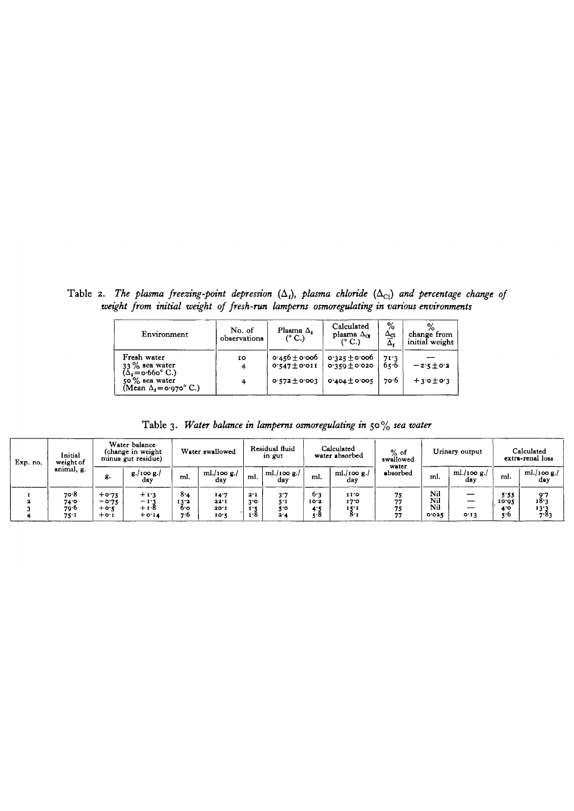Table 2. The plasma freezing-point depression  $(\Delta_i)$ , plasma chloride  $(\Delta_{C_i})$  and percentage change of *weight from initial weight of fresh-run lampems osmoregulating in various environments*

| Environment                                                 | No. of<br>observations | Plasma $\Delta_t$<br>$(^{\circ}$ C.)   | Calculated<br>plasma $\Delta_{\alpha}$<br>$(^{\circ}$ C.) | %<br>$\Delta_{\mathbb{C}^1}$<br>Δ. | change from<br>initial weight |
|-------------------------------------------------------------|------------------------|----------------------------------------|-----------------------------------------------------------|------------------------------------|-------------------------------|
| Fresh water<br>$33\%$ sea water<br>$(\Delta_t = 0.660$ °C.) | 10<br>4                | $0.456 \pm 0.006$<br>$0.547 \pm 0.011$ | $0.325 \pm 0.000$<br>$0.359 \pm 0.020$                    | 71.3<br>65.6                       | $-2.5 \pm 0.2$                |
| $50\%$ sea water<br>(Mean $\Delta_t = o.970$ °C.)           | 4                      | $0.572 \pm 0.003$                      | $0.404 \pm 0.005$                                         | ל∙ס                                | $+3.0 \pm 0.3$                |

Table 3. *Water balance in lampems osmoregulating in* 50% *sea water*

| Exp. no. | Initial<br>weight of         | Water balance<br>(change in weight)<br>minus gut residue) |                                     |                           | Water swallowed              |                                   | Residual fluid<br>in gut |                           | Calculated<br>water absorbed | $%$ of<br>swallowed<br>water |                            | Urinary output        |                            | Calculated<br>extra-renal loss |
|----------|------------------------------|-----------------------------------------------------------|-------------------------------------|---------------------------|------------------------------|-----------------------------------|--------------------------|---------------------------|------------------------------|------------------------------|----------------------------|-----------------------|----------------------------|--------------------------------|
|          | animal, g.                   | g.                                                        | $g /$ 100 $g$ ./<br>dav             | ml.                       | ml./100 $g$ ./<br>dav        | ml.                               | ml./100 $g$ ./<br>day    | ml.                       | ml./100 $g$ ./<br>day        | absorbed                     | ml.                        | ml./100 $g$ ./<br>dav | ml.                        | $ml/100 g$ .<br>dav            |
|          | 70.8<br>74.0<br>79.6<br>75.1 | $+0.75$<br>$-0.75$<br>$+0.5$<br>$+$ 0.1                   | $+1.3$<br>$-1.3$<br>+18<br>$+ 0.14$ | 8.4<br>13.2<br>6.0<br>7.6 | 14.7<br>22.1<br>20.1<br>10.5 | 2.1<br>3.0<br>$\mathbf{r}$<br>1.R | 3.7<br>57<br>k o<br>2.4  | 6.3<br>10.3<br>4.3<br>5.8 | 11.0<br>17.0<br>15.1<br>8.   | 75<br>77<br>75<br>77         | Nil<br>Nil<br>Nil<br>0.025 | –<br>__<br>0.13       | 5.55<br>10.02<br>ە -<br>50 | 9.7<br>18.3<br>13.3<br>7.83    |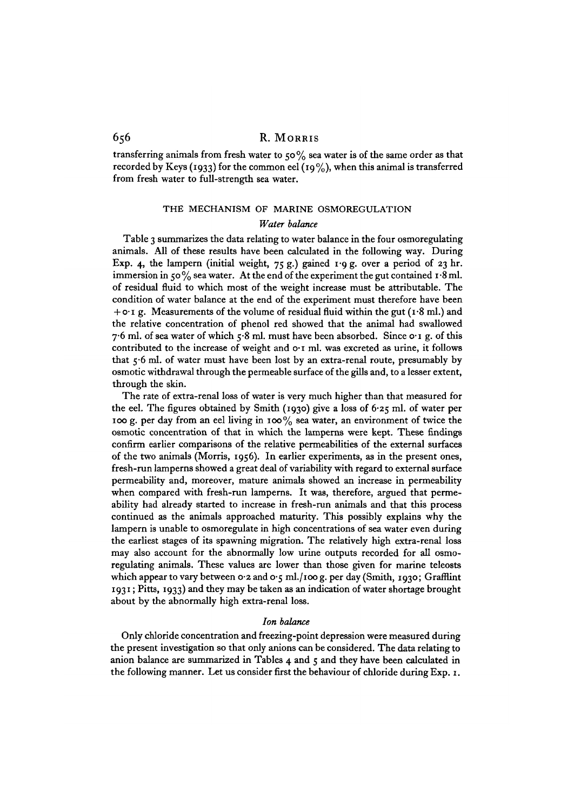transferring animals from fresh water to 50% sea water is of the same order as that recorded by Keys (1933) for the common eel (19%), when this animal is transferred from fresh water to full-strength sea water.

# THE MECHANISM OF MARINE OSMOREGULATION

#### *Water balance*

Table 3 summarizes the data relating to water balance in the four osmoregulating animals. All of these results have been calculated in the following way. During Exp. 4, the lampern (initial weight,  $75 g$ .) gained 1.9 g. over a period of 23 hr. immersion in 50% sea water. At the end of the experiment the gut contained  $\mathbf{1.8} \text{ ml}$ . of residual fluid to which most of the weight increase must be attributable. The condition of water balance at the end of the experiment must therefore have been  $+$  o $\cdot$  1 g. Measurements of the volume of residual fluid within the gut (1 $\cdot$ 8 ml.) and the relative concentration of phenol red showed that the animal had swallowed 7.6 ml. of sea water of which  $5.8$  ml. must have been absorbed. Since  $o \cdot i$  g. of this contributed to the increase of weight and o-1 ml. was excreted as urine, it follows that 56 ml. of water must have been lost by an extra-renal route, presumably by osmotic withdrawal through the permeable surface of the gills and, to a lesser extent, through the skin.

The rate of extra-renal loss of water is very much higher than that measured for the eel. The figures obtained by Smith (1930) give a loss of 6-25 ml. of water per 100 g. per day from an eel living in 100% sea water, an environment of twice the osmotic concentration of that in which the lamperns were kept. These findings confirm earlier comparisons of the relative permeabilities of the external surfaces of the two animals (Morris, 1956). In earlier experiments, as in the present ones, fresh-run lamperns showed a great deal of variability with regard to external surface permeability and, moreover, mature animals showed an increase in permeability when compared with fresh-run lamperns. It was, therefore, argued that permeability had already started to increase in fresh-run animals and that this process continued as the animals approached maturity. This possibly explains why the lampern is unable to osmoregulate in high concentrations of sea water even during the earliest stages of its spawning migration. The relatively high extra-renal loss may also account for the abnormally low urine outputs recorded for all osmoregulating animals. These values are lower than those given for marine teleosts which appear to vary between 0.2 and 0.5 ml./100 g. per day (Smith, 1930; Grafflint 1931; Pitts, 1933) and they may be taken as an indication of water shortage brought about by the abnormally high extra-renal loss.

#### *Ion balance*

Only chloride concentration and freezing-point depression were measured during the present investigation so that only anions can be considered. The data relating to anion balance are summarized in Tables  $4$  and  $5$  and they have been calculated in the following manner. Let us consider first the behaviour of chloride during Exp. 1.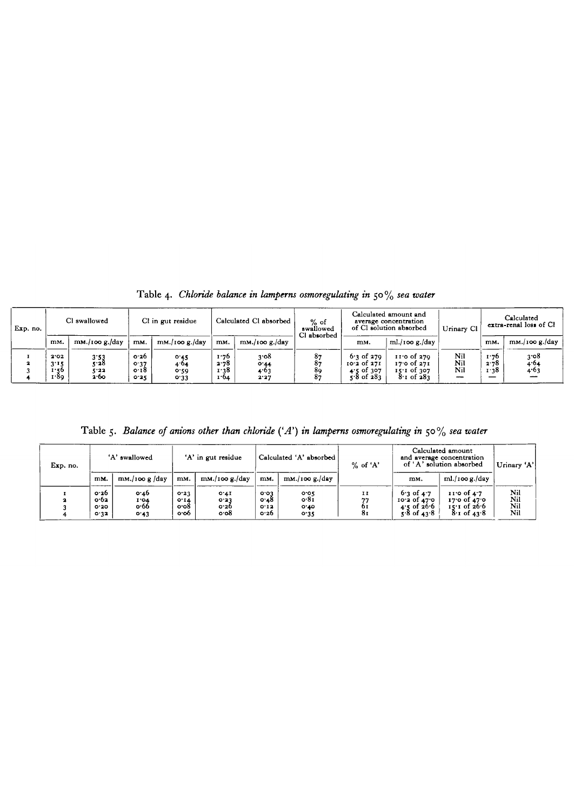Table 4. *Chloride balance in lampems osmoregulating in* 50% *sea water*

| Exp. no. | Cl swallowed                         |                              | Cl in gut residue            |                              | Calculated Cl absorbed       |                                       | $%$ of<br>swallowed<br>Cl absorbed |                                                                      | Calculated amount and<br>average concentration<br>of Cl solution absorbed | Urinary Cl        | Calculated<br>extra-renal loss of Cl |                          |  |
|----------|--------------------------------------|------------------------------|------------------------------|------------------------------|------------------------------|---------------------------------------|------------------------------------|----------------------------------------------------------------------|---------------------------------------------------------------------------|-------------------|--------------------------------------|--------------------------|--|
|          | mM.                                  | mM./100 g./day               | mM.                          | $\text{mM}$ ./100 g./day     | mM,                          | $\text{mM./100 g./day}$               |                                    | m <sub>M</sub> .                                                     | ml./100 g./day                                                            |                   | mM.                                  | $\text{mM}$ ./100 g./day |  |
|          | 2.02<br>3'15<br>$\cdots$ 50.<br>1.89 | 3.53<br>5.28<br>5.22<br>2.60 | о 26<br>0.37<br>o 18<br>0.25 | 0.45<br>4.04<br>0.59<br>0.33 | 1.76<br>2.78<br>1:38<br>1.04 | 3.08<br>$^{\circ}$ 44<br>4.63<br>2.27 | 87<br>89<br>-87                    | $6.3$ of 270<br>$10.2$ of $27I$<br>of 307 ز<br>4.5<br>$5.8$ of $283$ | $11'0$ of $270$<br>1700f27I<br>$15.1$ of $307$<br>$8.1$ of $283$          | Nil<br>Nil<br>Nil | 1.76<br>2.78<br>1.38<br>__           | 3.08<br>4.04<br>4.03     |  |

Table 5. *Balance of onions other than chloride {'A') in lampems osmoregulating in* 50% *sea water*

| Exp. no. | 'A' swallowed                |                               |                               | 'A' in gut residue                      |                              | Calculated 'A' absorbed      | $%$ of 'A'               | Calculated amount<br>and average concentration<br>of 'A' solution absorbed | Urinary 'A'                                                                       |                          |
|----------|------------------------------|-------------------------------|-------------------------------|-----------------------------------------|------------------------------|------------------------------|--------------------------|----------------------------------------------------------------------------|-----------------------------------------------------------------------------------|--------------------------|
|          | mM.                          | $\text{mM./100 g}/\text{day}$ | mM.                           | $\text{mM./100 g./day}$                 | mM.                          | $\text{mM}$ ./100 g./day     |                          | mM.                                                                        | $ml$ ./100 g./day                                                                 |                          |
|          | 0.26<br>о 62<br>0.30<br>0.32 | o 46<br>1.04<br>o.66<br>0.43  | 0.23<br>0.14<br>o o8<br>o o 6 | 0.41<br>0.33<br>o.26<br>$\mathbf{0.08}$ | 0.03<br>0.48<br>0.12<br>0.26 | 0.05<br>o 81<br>0.10<br>0.35 | $\mathbf{I}$<br>oı<br>8τ | $6.3$ of $4.7$<br>$10.3$ of $47.0$<br>4.5 of 26.6<br>$5.8$ of $43.8$       | $11.0$ of $4.7$<br>$17.0 \text{ of } 47.0$<br>$15.1$ of $26.6$<br>$8.1$ of $43.8$ | Nil<br>Nil<br>Nil<br>Nil |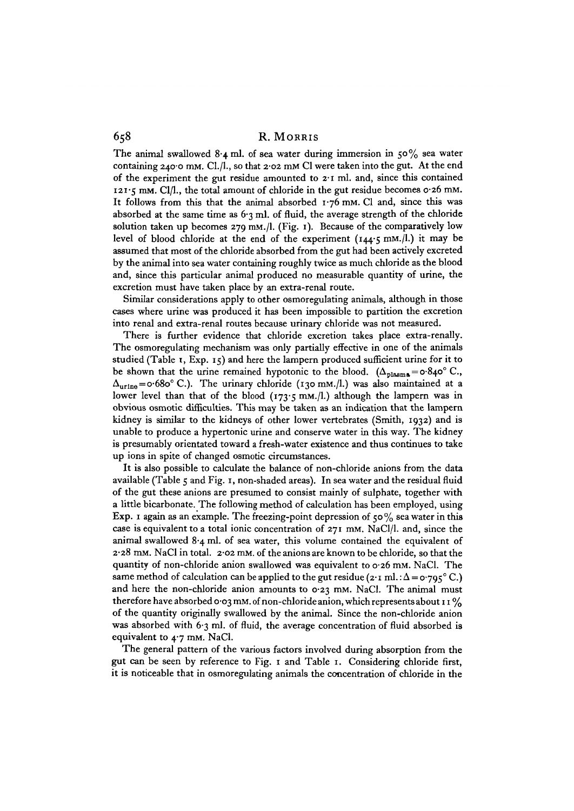The animal swallowed 8.4 ml. of sea water during immersion in  $50\%$  sea water containing 240.0 mm. Cl./l., so that  $2.02$  mm Cl were taken into the gut. At the end of the experiment the gut residue amounted to 2-1 ml. and, since this contained 121-5 mM. Cl/1., the total amount of chloride in the gut residue becomes 0-26 mM. It follows from this that the animal absorbed  $1.76$  mm. Cl and, since this was absorbed at the same time as  $6.3$  ml. of fluid, the average strength of the chloride solution taken up becomes 279 mM./l. (Fig. 1). Because of the comparatively low level of blood chloride at the end of the experiment (144-5 mM./l.) it may be assumed that most of the chloride absorbed from the gut had been actively excreted by the animal into sea water containing roughly twice as much chloride as the blood and, since this particular animal produced no measurable quantity of urine, the excretion must have taken place by an extra-renal route.

Similar considerations apply to other osmoregulating animals, although in those cases where urine was produced it has been impossible to partition the excretion into renal and extra-renal routes because urinary chloride was not measured.

There is further evidence that chloride excretion takes place extra-renally. The osmoregulating mechanism was only partially effective in one of the animals studied (Table 1, Exp. 15) and here the lampern produced sufficient urine for it to be shown that the urine remained hypotonic to the blood.  $(\Delta_{\text{plasma}} = o.840^{\circ} \text{ C}.)$  $\Delta_{\text{uring}} = \text{o-68o}^{\circ} \text{ C}$ .). The urinary chloride (130 mM./l.) was also maintained at a lower level than that of the blood  $(173.5 \text{ mm.})$  although the lampern was in obvious osmotic difficulties. This may be taken as an indication that the lampern kidney is similar to the kidneys of other lower vertebrates (Smith, 1932) and is unable to produce a hypertonic urine and conserve water in this way. The kidney is presumably orientated toward a fresh-water existence and thus continues to take up ions in spite of changed osmotic circumstances.

It is also possible to calculate the balance of non-chloride anions from the data available (Table 5 and Fig. 1, non-shaded areas). In sea water and the residual fluid of the gut these anions are presumed to consist mainly of sulphate, together with a little bicarbonate. The following method of calculation has been employed, using Exp. 1 again as an example. The freezing-point depression of 50% sea water in this case is equivalent to a total ionic concentration of  $271$  mm. NaCl/l. and, since the animal swallowed 8-4 ml. of sea water, this volume contained the equivalent of 2-28 mM. NaCl in total. 2-02 mM. of the anions are known to be chloride, so that the quantity of non-chloride anion swallowed was equivalent to 0-26 mM. NaCl. The same method of calculation can be applied to the gut residue (2.1 ml.:  $\Delta = o.795$ °C.) and here the non-chloride anion amounts to  $o·23$  mm. NaCl. The animal must therefore have absorbed 0.03 mm. of non-chloride anion, which represents about 11% of the quantity originally swallowed by the animal. Since the non-chloride anion was absorbed with 6.3 ml. of fluid, the average concentration of fluid absorbed is equivalent to  $4.7$  mm. NaCl.

The general pattern of the various factors involved during absorption from the gut can be seen by reference to Fig. 1 and Table 1. Considering chloride first, it is noticeable that in osmoregulating animals the concentration of chloride in the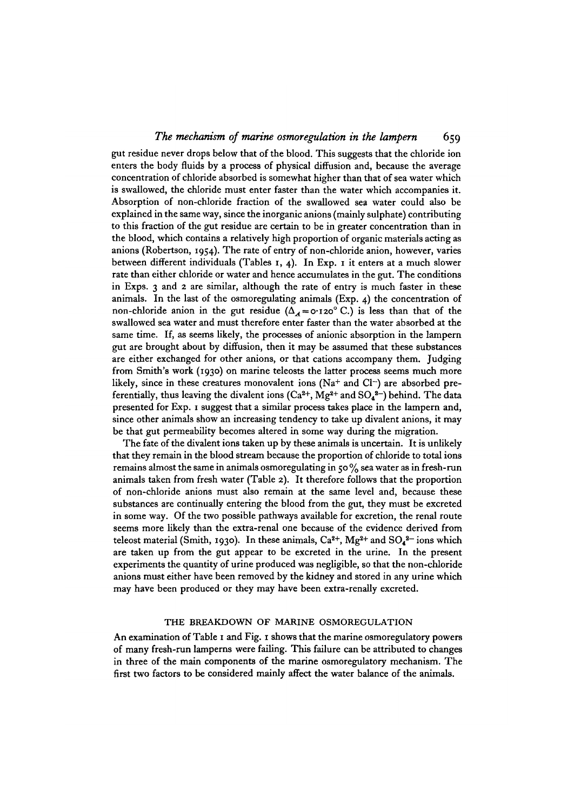gut residue never drops below that of the blood. This suggests that the chloride ion enters the body fluids by a process of physical diffusion and, because the average concentration of chloride absorbed is somewhat higher than that of sea water which is swallowed, the chloride must enter faster than the water which accompanies it. Absorption of non-chloride fraction of the swallowed sea water could also be explained in the same way, since the inorganic anions (mainly sulphate) contributing to this fraction of the gut residue are certain to be in greater concentration than in the blood, which contains a relatively high proportion of organic materials acting as anions (Robertson, 1954). The rate of entry of non-chloride anion, however, varies between different individuals (Tables 1, 4). In Exp. 1 it enters at a much slower rate than either chloride or water and hence accumulates in the gut. The conditions in Exps. 3 and 2 are similar, although the rate of entry is much faster in these animals. In the last of the osmoregulating animals (Exp. 4) the concentration of non-chloride anion in the gut residue  $(\Delta_{\mathcal{A}} = o.120^{\circ} \text{ C.})$  is less than that of the swallowed sea water and must therefore enter faster than the water absorbed at the same time. If, as seems likely, the processes of anionic absorption in the lampern gut are brought about by diffusion, then it may be assumed that these substances are either exchanged for other anions, or that cations accompany them. Judging from Smith's work (1930) on marine teleosts the latter process seems much more likely, since in these creatures monovalent ions (Na+ and Cl-) are absorbed preferentially, thus leaving the divalent ions  $(Ca^{2+}, Mg^{2+}$  and  $SO_4^{\ 2-})$  behind. The data presented for Exp. 1 suggest that a similar process takes place in the lampern and, since other animals show an increasing tendency to take up divalent anions, it may be that gut permeability becomes altered in some way during the migration.

The fate of the divalent ions taken up by these animals is uncertain. It is unlikely that they remain in the blood stream because the proportion of chloride to total ions remains almost the same in animals osmoregulating in 50 % sea water as in fresh-run animals taken from fresh water (Table 2). It therefore follows that the proportion of non-chloride anions must also remain at the same level and, because these substances are continually entering the blood from the gut, they must be excreted in some way. Of the two possible pathways available for excretion, the renal route seems more likely than the extra-renal one because of the evidence derived from teleost material (Smith, 1930). In these animals,  $Ca^{2+}$ , Mg<sup>2+</sup> and SO<sub>4</sub><sup>2-</sup> ions which are taken up from the gut appear to be excreted in the urine. In the present experiments the quantity of urine produced was negligible, so that the non-chloride anions must either have been removed by the kidney and stored in any urine which may have been produced or they may have been extra-renally excreted.

## THE BREAKDOWN OF MARINE OSMOREGULATION

An examination of Table 1 and Fig. 1 shows that the marine osmoregulatory powers of many fresh-run lamperns were failing. This failure can be attributed to changes in three of the main components of the marine osmoregulatory mechanism. The first two factors to be considered mainly affect the water balance of the animals.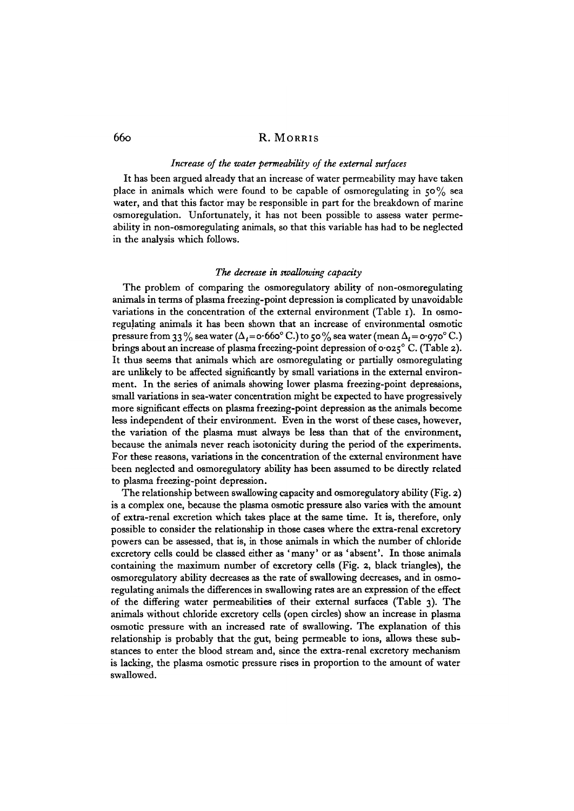#### *Increase of the water permeability of the external surfaces*

It has been argued already that an increase of water permeability may have taken place in animals which were found to be capable of osmoregulating in  $50\%$  sea water, and that this factor may be responsible in part for the breakdown of marine osmoregulation. Unfortunately, it has not been possible to assess water permeability in non-osmoregulating animals, so that this variable has had to be neglected in the analysis which follows.

#### *The decrease in swallowing capacity*

The problem of comparing the osmoregulatory ability of non-osmoregulating animals in terms of plasma freezing-point depression is complicated by unavoidable variations in the concentration of the external environment (Table 1). In osmoregulating animals it has been shown that an increase of environmental osmotic pressure from 33% sea water ( $\Delta_t = o.660^\circ$  C.) to 50% sea water (mean  $\Delta_t = o.970^\circ$  C.) brings about an increase of plasma freezing-point depression of  $\sigma$  0.25° C. (Table 2). It thus seems that animals which are osmoregulating or partially osmoregulating are unlikely to be affected significantly by small variations in the external environment. In the series of animals showing lower plasma freezing-point depressions, small variations in sea-water concentration might be expected to have progressively more significant effects on plasma freezing-point depression as the animals become less independent of their environment. Even in the worst of these cases, however, the variation of the plasma must always be less than that of the environment, because the animals never reach isotonicity during the period of the experiments. For these reasons, variations in the concentration of the external environment have been neglected and osmoregulatory ability has been assumed to be directly related to plasma freezing-point depression.

The relationship between swallowing capacity and osmoregulatory ability (Fig. 2) is a complex one, because the plasma osmotic pressure also varies with the amount of extra-renal excretion which takes place at the same time. It is, therefore, only possible to consider the relationship in those cases where the extra-renal excretory powers can be assessed, that is, in those animals in which the number of chloride excretory cells could be classed either as 'many' or as 'absent'. In those animals containing the maximum number of excretory cells (Fig. 2, black triangles), the osmoregulatory ability decreases as the rate of swallowing decreases, and in osmoregulating animals the differences in swallowing rates are an expression of the effect of the differing water permeabilities of their external surfaces (Table 3). The animals without chloride excretory cells (open circles) show an increase in plasma osmotic pressure with an increased rate of swallowing. The explanation of this relationship is probably that the gut, being permeable to ions, allows these substances to enter the blood stream and, since the extra-renal excretory mechanism is lacking, the plasma osmotic pressure rises in proportion to the amount of water swallowed.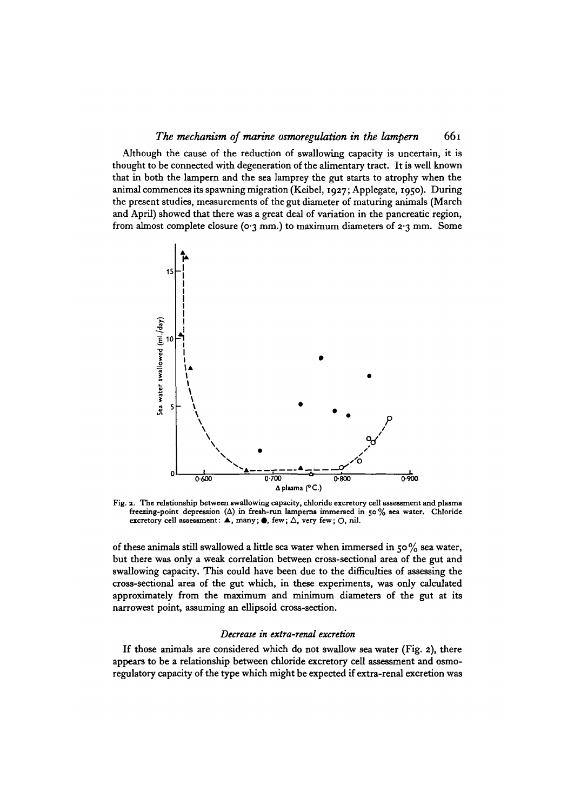Although the cause of the reduction of swallowing capacity is uncertain, it is thought to be connected with degeneration of the alimentary tract. It is well known that in both the lampern and the sea lamprey the gut starts to atrophy when the animal commences its spawning migration (Keibel, 1927; Applegate, 1950). During the present studies, measurements of the gut diameter of maturing animals (March and April) showed that there was a great deal of variation in the pancreatic region, from almost complete closure ( $o$ -3 mm.) to maximum diameters of  $2.3$  mm. Some



**Fig. 2. The relationship between swallowing capacity, chloride excretory cell assessment and plasma freezing-point depression (A) in fresh-run lampems immersed in 50% sea water. Chloride** excretory cell assessment: ▲, many; ●, few; △, very few; ○, nil.

of these animals still swallowed a little sea water when immersed in 50% sea water, but there was only a weak correlation between cross-sectional area of the gut and swallowing capacity. This could have been due to the difficulties of assessing the cross-sectional area of the gut which, in these experiments, was only calculated approximately from the maximum and minimum diameters of the gut at its narrowest point, assuming an ellipsoid cross-section.

#### *Decrease in extra-renal excretion*

If those animals are considered which do not swallow sea water (Fig. 2), there appears to be a relationship between chloride excretory cell assessment and osmoregulatory capacity of the type which might be expected if extra-renal excretion was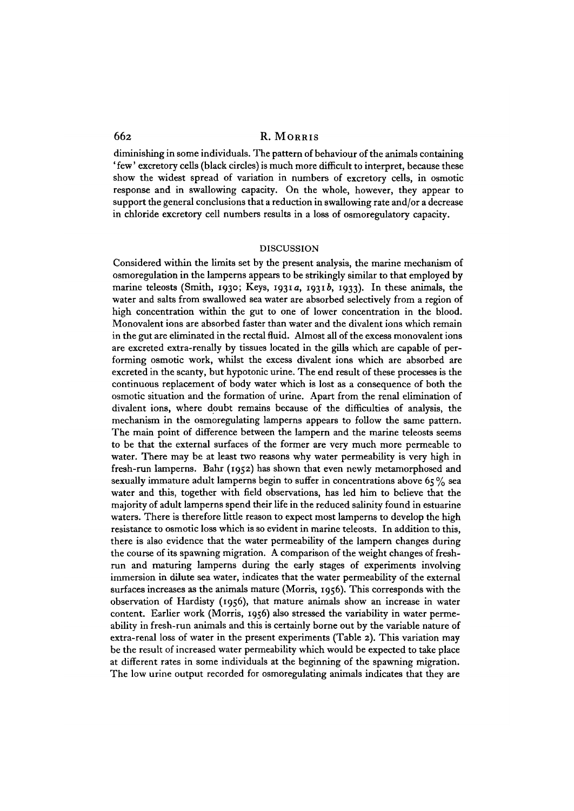diminishing in some individuals. The pattern of behaviour of the animals containing ' few' excretory cells (black circles) is much more difficult to interpret, because these show the widest spread of variation in numbers of excretory cells, in osmotic response and in swallowing capacity. On the whole, however, they appear to support the general conclusions that a reduction in swallowing rate and/or a decrease in chloride excretory cell numbers results in a loss of osmoregulatory capacity.

#### DISCUSSION

Considered within the limits set by the present analysis, the marine mechanism of osmoregulation in the lamperns appears to be strikingly similar to that employed by marine teleosts (Smith, 1930; Keys, 1931a, 1931b, 1933). In these animals, the water and salts from swallowed sea water are absorbed selectively from a region of high concentration within the gut to one of lower concentration in the blood. Monovalent ions are absorbed faster than water and the divalent ions which remain in the gut are eliminated in the rectal fluid. Almost all of the excess monovalent ions are excreted extra-renally by tissues located in the gills which are capable of performing osmotic work, whilst the excess divalent ions which are absorbed are excreted in the scanty, but hypotonic urine. The end result of these processes is the continuous replacement of body water which is lost as a consequence of both the osmotic situation and the formation of urine. Apart from the renal elimination of divalent ions, where doubt remains because of the difficulties of analysis, the mechanism in the osmoregulating lamperns appears to follow the same pattern. The main point of difference between the lampern and the marine teleosts seems to be that the external surfaces of the former are very much more permeable to water. There may be at least two reasons why water permeability is very high in fresh-run lamperns. Bahr (1952) has shown that even newly metamorphosed and sexually immature adult lamperns begin to suffer in concentrations above  $65\%$  sea water and this, together with field observations, has led him to believe that the majority of adult lamperns spend their life in the reduced salinity found in estuarine waters. There is therefore little reason to expect most lamperns to develop the high resistance to osmotic loss which is so evident in marine teleosts. In addition to this, there is also evidence that the water permeability of the lampern changes during the course of its spawning migration. A comparison of the weight changes of freshrun and maturing lamperns during the early stages of experiments involving immersion in dilute sea water, indicates that the water permeability of the external surfaces increases as the animals mature (Morris, 1956). This corresponds with the observation of Hardisty (1956), that mature animals show an increase in water content. Earlier work (Morris, 1956) also stressed the variability in water permeability in fresh-run animals and this is certainly borne out by the variable nature of extra-renal loss of water in the present experiments (Table 2). This variation may be the result of increased water permeability which would be expected to take place at different rates in some individuals at the beginning of the spawning migration. The low urine output recorded for osmoregulating animals indicates that they are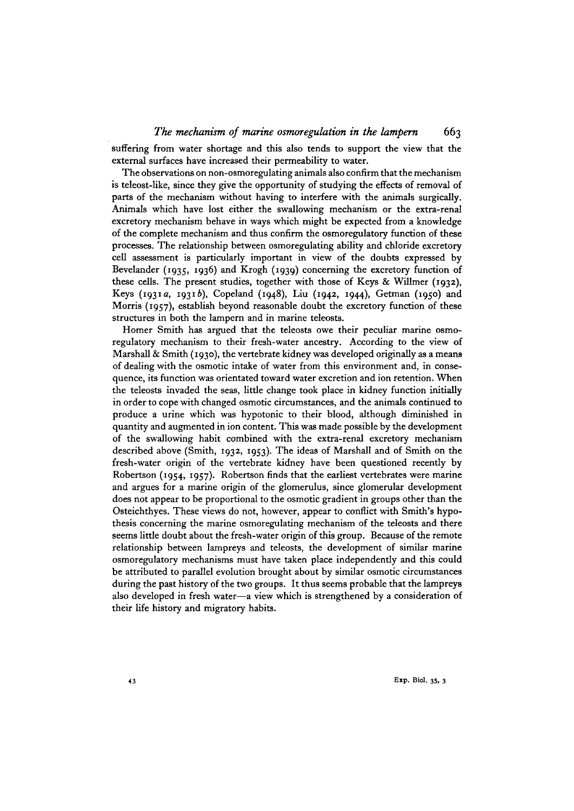suffering from water shortage and this also tends to support the view that the external surfaces have increased their permeability to water.

The observations on non-osmoregulating animals also confirm that the mechanism is teleost-like, since they give the opportunity of studying the effects of removal of parts of the mechanism without having to interfere with the animals surgically. Animals which have lost either the swallowing mechanism or the extra-renal excretory mechanism behave in ways which might be expected from a knowledge of the complete mechanism and thus confirm the osmoregulatory function of these processes. The relationship between osmoregulating ability and chloride excretory cell assessment is particularly important in view of the doubts expressed by Bevelander (1935, 1936) and Krogh (1939) concerning the excretory function of these cells. The present studies, together with those of Keys & Willmer (1932), Keys (1931a, 1931b), Copeland (1948), Liu (1942, 1944), Getman (1950) and Morris (1957), establish beyond reasonable doubt the excretory function of these structures in both the lampern and in marine teleosts.

Homer Smith has argued that the teleosts owe their peculiar marine osmoregulatory mechanism to their fresh-water ancestry. According to the view of Marshall & Smith (1930), the vertebrate kidney was developed originally as a means of dealing with the osmotic intake of water from this environment and, in consequence, its function was orientated toward water excretion and ion retention. When the teleosts invaded the seas, little change took place in kidney function initially in order to cope with changed osmotic circumstances, and the animals continued to produce a urine which was hypotonic to their blood, although diminished in quantity and augmented in ion content. This was made possible by the development of the swallowing habit combined with the extra-renal excretory mechanism described above (Smith, 1932, 1953). The ideas of Marshall and of Smith on the fresh-water origin of the vertebrate kidney have been questioned recently by Robertson (1954, 1957). Robertson finds that the earliest vertebrates were marine and argues for a marine origin of the glomerulus, since glomerular development does not appear to be proportional to the osmotic gradient in groups other than the Osteichthyes. These views do not, however, appear to conflict with Smith's hypothesis concerning the marine osmoregulating mechanism of the teleosts and there seems little doubt about the fresh-water origin of this group. Because of the remote relationship between lampreys and teleosts, the development of similar marine osmoregulatory mechanisms must have taken place independently and this could be attributed to parallel evolution brought about by similar osmotic circumstances during the past history of the two groups. It thus seems probable that the lampreys also developed in fresh water—a view which is strengthened by a consideration of their life history and migratory habits.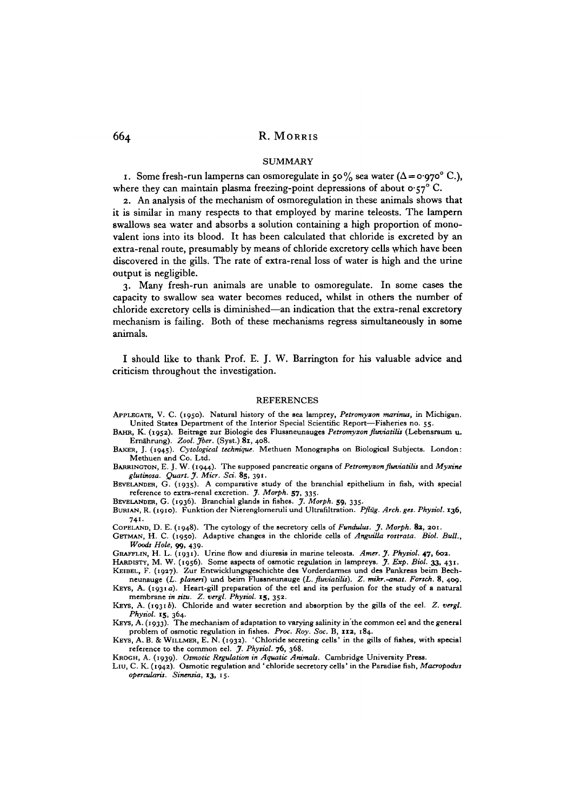#### SUMMARY

1. Some fresh-run lamperns can osmoregulate in 50% sea water ( $\Delta = o.970$ °C.), where they can maintain plasma freezing-point depressions of about  $\sigma$ -57° C.

2. An analysis of the mechanism of osmoregulation in these animals shows that it is similar in many respects to that employed by marine teleosts. The lampern swallows sea water and absorbs a solution containing a high proportion of monovalent ions into its blood. It has been calculated that chloride is excreted by an extra-renal route, presumably by means of chloride excretory cells which have been discovered in the gills. The rate of extra-renal loss of water is high and the urine output is negligible.

3. Many fresh-run animals are unable to osmoregulate. In some cases the capacity to swallow sea water becomes reduced, whilst in others the number of chloride excretory cells is diminished—an indication that the extra-renal excretory mechanism is failing. Both of these mechanisms regress simultaneously in some animals.

I should like to thank Prof. E. J. W. Barrington for his valuable advice and criticism throughout the investigation.

#### **REFERENCES**

- 
- APPLEGATE, V. C. (1950). Natural history of the sea lamprey, *Petromyzon marinus*, in Michigan.<br>United States Department of the Interior Special Scientific Report—Fisheries no. 55.<br>BAHR, K. (1952). Beitrage zur Biologie de

BAKER, J. (1945). *Cytological technique*. Methuen Monographs on Biological Subjects. London:<br>Methuen and Co. Ltd.

BARRINGTON, E. J. W. (1944). The supposed pancreatic organs of *Petromyzon fluviatilis* and *Myxine* glutinosa. Quart. J. Micr. Sci. 85, 391.

BBVELANDER, G. (1935). A comparative study of the branchial epithelium in fish, with special The reference to extra-renal excretion. *J. Morph.* 57, 335.<br>BEVELANDER, G. (1936). Branchial glands in fishes. *J. Morph.* 59, 335.<br>BURIAN, R. (1910). Funktion der Nierenglomeruli und Ultrafiltration. *Pflüg. Arch. ges. P* 

741.<br>COPELAND, D. E. (1948). The cytology of the secretory cells of Fundulus. J. Morph. 82, 201.

GETMAN, H. C. (1950). Adaptive changes in the chloride cells of Anguilla rostrata. Biol. Bull., Woods Hole, 99, 439.

GRAFFLIN, H. L. (1931). Urine flow and diuresis in marine teleosts. Amer. J. Physiol. 47, 602.<br>HARDISTY, M. W. (1956). Some aspects of osmotic regulation in lampreys. J. Exp. Biol. 33, 431.<br>KEIBEL, F. (1927). Zur Entwicklu

membrane *in situ. Z. vergl. Physiol.* 15, 352. KEYS, A. (19316). Chloride and water secretion and absorption by the gills of the eel. *Z. vergl.*

*HEYS, A.* (1933). The mechanism of adaptation to varying salinity in the common eel and the general problem of osmotic regulation in fishes. *Proc. Roy. Soc.* B, 112, 184.

KEYS, A. B. & WILLMER, E. N. (1932). 'Chloride secreting cells' in the gills of fishes, with special reference to the common eel. J. Physiol. 76, 368.

Квосн, A. (1939). Osmotic Regulation in Aquatic Animals. Cambridge University Press.<br>LIU, C. K. (1942). Osmotic regulation and 'chloride secretory cells' in the Paradise fish, Macropodus *operations. Sinensia,* 13, 15.